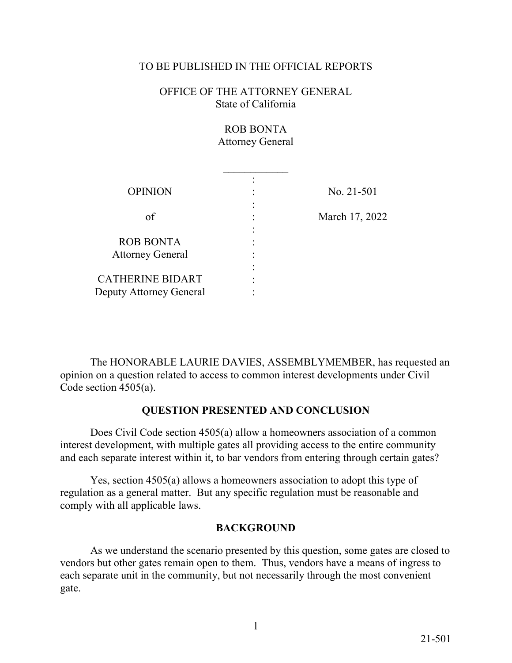## TO BE PUBLISHED IN THE OFFICIAL REPORTS

OFFICE OF THE ATTORNEY GENERAL State of California

> ROB BONTA Attorney General

| <b>OPINION</b>          |   | No. 21-501     |
|-------------------------|---|----------------|
|                         |   |                |
| of                      | ٠ | March 17, 2022 |
|                         |   |                |
| <b>ROB BONTA</b>        |   |                |
| <b>Attorney General</b> |   |                |
|                         |   |                |
| <b>CATHERINE BIDART</b> |   |                |
| Deputy Attorney General |   |                |
|                         |   |                |

 opinion on a question related to access to common interest developments under Civil The HONORABLE LAURIE DAVIES, ASSEMBLYMEMBER, has requested an Code section 4505(a).

## **QUESTION PRESENTED AND CONCLUSION**

Does Civil Code section 4505(a) allow a homeowners association of a common interest development, with multiple gates all providing access to the entire community

 and each separate interest within it, to bar vendors from entering through certain gates? Yes, section 4505(a) allows a homeowners association to adopt this type of regulation as a general matter. But any specific regulation must be reasonable and comply with all applicable laws.

## **BACKGROUND**

 As we understand the scenario presented by this question, some gates are closed to vendors but other gates remain open to them. Thus, vendors have a means of ingress to each separate unit in the community, but not necessarily through the most convenient gate.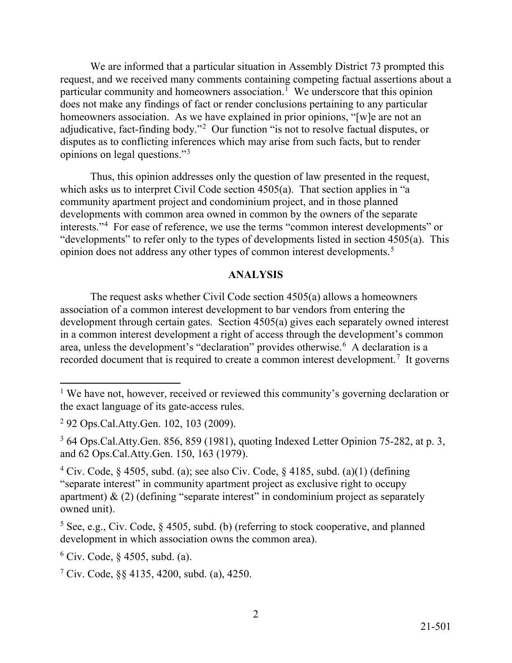We are informed that a particular situation in Assembly District 73 prompted this particular community and homeowners association.<sup>[1](#page-1-0)</sup> We underscore that this opinion homeowners association. As we have explained in prior opinions, "[w]e are not an adjudicative, fact-finding body."<sup>2</sup> Our function "is not to resolve factual disputes, or opinions on legal questions."[3](#page-1-2)  request, and we received many comments containing competing factual assertions about a does not make any findings of fact or render conclusions pertaining to any particular disputes as to conflicting inferences which may arise from such facts, but to render

interests."<sup>[4](#page-1-3)</sup> For ease of reference, we use the terms "common interest developments" or "developments" to refer only to the types of developments listed in section 4505(a). This opinion does not address any other types of common interest developments.<sup>[5](#page-1-4)</sup> Thus, this opinion addresses only the question of law presented in the request, which asks us to interpret Civil Code section 4505(a). That section applies in "a community apartment project and condominium project, and in those planned developments with common area owned in common by the owners of the separate

## **ANALYSIS**

area, unless the development's "declaration" provides otherwise.<sup>[6](#page-1-5)</sup> A declaration is a recorded document that is required to create a common interest development.<sup>7</sup> It governs The request asks whether Civil Code section 4505(a) allows a homeowners association of a common interest development to bar vendors from entering the development through certain gates. Section 4505(a) gives each separately owned interest in a common interest development a right of access through the development's common

-

<span id="page-1-0"></span><sup>&</sup>lt;sup>1</sup> We have not, however, received or reviewed this community's governing declaration or the exact language of its gate-access rules.

<span id="page-1-1"></span><sup>2 92</sup> Ops.Cal.Atty.Gen. 102, 103 (2009).

<span id="page-1-2"></span>and 62 Ops.Cal.Atty.Gen. 150, 163 (1979). 3 64 Ops.Cal.Atty.Gen. 856, 859 (1981), quoting Indexed Letter Opinion 75-282, at p. 3,

<span id="page-1-3"></span>owned unit). <sup>4</sup> Civ. Code, § 4505, subd. (a); see also Civ. Code, § 4185, subd. (a)(1) (defining "separate interest" in community apartment project as exclusive right to occupy apartment)  $\&$  (2) (defining "separate interest" in condominium project as separately

<span id="page-1-4"></span><sup>&</sup>lt;sup>5</sup> See, e.g., Civ. Code,  $\S$  4505, subd. (b) (referring to stock cooperative, and planned development in which association owns the common area).

<span id="page-1-5"></span><sup>&</sup>lt;sup>6</sup> Civ. Code,  $\S$  4505, subd. (a).

<span id="page-1-6"></span> $\frac{7}{1}$  Civ. Code, §§ 4135, 4200, subd. (a), 4250.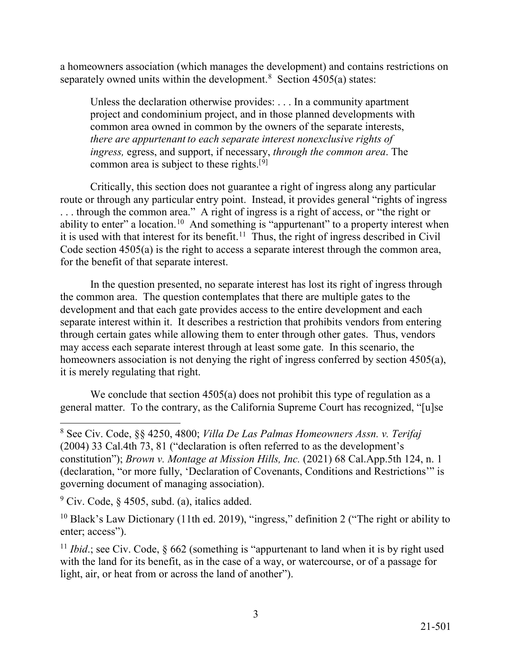separately owned units within the development.<sup>[8](#page-2-0)</sup> Section  $4505(a)$  states: a homeowners association (which manages the development) and contains restrictions on

Unless the declaration otherwise provides: . . . In a community apartment project and condominium project, and in those planned developments with common area owned in common by the owners of the separate interests, *there are appurtenant to each separate interest nonexclusive rights of ingress,* egress, and support, if necessary, *through the common area*. The common area is subject to these rights.<sup>[[9](#page-2-1)]</sup>

 . . . through the common area." A right of ingress is a right of access, or "the right or ability to enter" a location.<sup>1[0](#page-2-2)</sup> And something is "appurtenant" to a property interest when it is used with that interest for its benefit.<sup>[1](#page-2-3)1</sup> Thus, the right of ingress described in Civil Critically, this section does not guarantee a right of ingress along any particular route or through any particular entry point. Instead, it provides general "rights of ingress Code section 4505(a) is the right to access a separate interest through the common area, for the benefit of that separate interest.

 may access each separate interest through at least some gate. In this scenario, the homeowners association is not denying the right of ingress conferred by section 4505(a), In the question presented, no separate interest has lost its right of ingress through the common area. The question contemplates that there are multiple gates to the development and that each gate provides access to the entire development and each separate interest within it. It describes a restriction that prohibits vendors from entering through certain gates while allowing them to enter through other gates. Thus, vendors it is merely regulating that right.

 We conclude that section 4505(a) does not prohibit this type of regulation as a general matter. To the contrary, as the California Supreme Court has recognized, "[u]se

<span id="page-2-0"></span>governing document of managing association). 8 See Civ. Code, §§ 4250, 4800; *Villa De Las Palmas Homeowners Assn. v. Terifaj*  (2004) 33 Cal.4th 73, 81 ("declaration is often referred to as the development's constitution"); *Brown v. Montage at Mission Hills, Inc.* (2021) 68 Cal.App.5th 124, n. 1 (declaration, "or more fully, 'Declaration of Covenants, Conditions and Restrictions'" is

<span id="page-2-1"></span> $\degree$  Civ. Code,  $\degree$  4505, subd. (a), italics added.

<span id="page-2-2"></span><sup>&</sup>lt;sup>10</sup> Black's Law Dictionary (11th ed. 2019), "ingress," definition 2 ("The right or ability to enter; access").

<span id="page-2-3"></span><sup>&</sup>lt;sup>11</sup> *Ibid*.; see Civ. Code,  $\frac{662}{15}$  (something is "appurtenant to land when it is by right used with the land for its benefit, as in the case of a way, or watercourse, or of a passage for light, air, or heat from or across the land of another").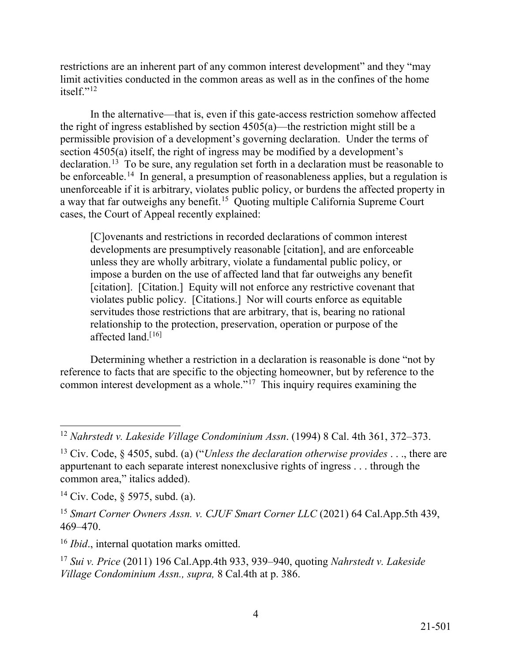itself."[12](#page-3-0) restrictions are an inherent part of any common interest development" and they "may limit activities conducted in the common areas as well as in the confines of the home

 the right of ingress established by section 4505(a)—the restriction might still be a permissible provision of a development's governing declaration. Under the terms of section 4505(a) itself, the right of ingress may be modified by a development's declaration.<sup>1[3](#page-3-1)</sup> To be sure, any regulation set forth in a declaration must be reasonable to be enforceable.<sup>14</sup> In general, a presumption of reasonableness applies, but a regulation is a way that far outweighs any benefit.<sup>15</sup> Quoting multiple California Supreme Court In the alternative—that is, even if this gate-access restriction somehow affected unenforceable if it is arbitrary, violates public policy, or burdens the affected property in cases, the Court of Appeal recently explained:

 unless they are wholly arbitrary, violate a fundamental public policy, or [citation]. [Citation.] Equity will not enforce any restrictive covenant that violates public policy. [Citations.] Nor will courts enforce as equitable affected land.<sup>[[16\]](#page-3-4)</sup> [C]ovenants and restrictions in recorded declarations of common interest developments are presumptively reasonable [citation], and are enforceable impose a burden on the use of affected land that far outweighs any benefit servitudes those restrictions that are arbitrary, that is, bearing no rational relationship to the protection, preservation, operation or purpose of the

common interest development as a whole."<sup>17</sup> This inquiry requires examining the Determining whether a restriction in a declaration is reasonable is done "not by reference to facts that are specific to the objecting homeowner, but by reference to the

<sup>-</sup>

<span id="page-3-1"></span><span id="page-3-0"></span><sup>&</sup>lt;sup>12</sup> Nahrstedt v. Lakeside Village Condominium Assn. (1994) 8 Cal. 4th 361, 372–373.<br><sup>13</sup> Civ. Code, § 4505, subd. (a) ("*Unless the declaration otherwise provides* . . ., there are <sup>13</sup> Civ. Code,  $\frac{1}{2}$  4505, subd. (a) ("*Unless the declaration otherwise provides* . . ., there are appurtenant to each separate interest nonexclusive rights of ingress . . . through the common area," italics added).

<span id="page-3-2"></span><sup>&</sup>lt;sup>14</sup> Civ. Code,  $\frac{1}{2}$  5975, subd. (a).

<span id="page-3-3"></span><sup>&</sup>lt;sup>15</sup> Smart Corner Owners Assn. v. CJUF Smart Corner LLC (2021) 64 Cal.App.5th 439, 469–470.

<span id="page-3-5"></span><span id="page-3-4"></span> $16$  *Ibid.*, internal quotation marks omitted.

<sup>&</sup>lt;sup>16</sup> *Ibid.*, internal quotation marks omitted.<br><sup>17</sup> *Sui v. Price* (2011) 196 Cal.App.4th 933, 939–940, quoting *Nahrstedt v. Lakeside Village Condominium Assn., supra,* 8 Cal.4th at p. 386.